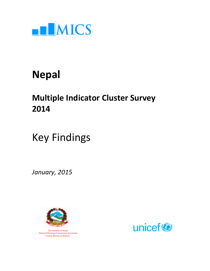

## Nepal

## Multiple Indicator Cluster Survey 2014

# Key Findings

January, 2015



 Government of Nepal National Planning Commission Secretariat Central Bureau of Statistics

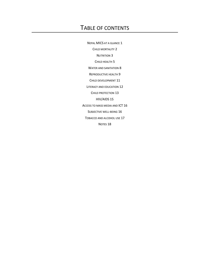### TABLE OF CONTENTS

NEPAL MICS AT A GLANCE 1 CHILD MORTALITY 2 NUTRITION 3 CHILD HEALTH 5 WATER AND SANITATION 8 REPRODUCTIVE HEALTH 9 CHILD DEVELOPMENT 11 LITERACY AND EDUCATION 12 CHILD PROTECTION 13 HIV/AIDS 15 ACCESS TO MASS MEDIA AND ICT 16 SUBJECTIVE WELL-BEING 16 TOBACCO AND ALCOHOL USE 17 NOTES 18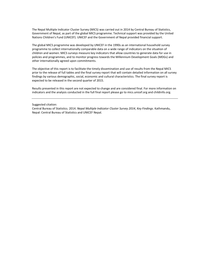The Nepal Multiple Indicator Cluster Survey (MICS) was carried out in 2014 by Central Bureau of Statistics, Government of Nepal, as part of the global MICS programme. Technical support was provided by the United Nations Children's Fund (UNICEF). UNICEF and the Government of Nepal provided financial support.

The global MICS programme was developed by UNICEF in the 1990s as an international household survey programme to collect internationally comparable data on a wide range of indicators on the situation of children and women. MICS surveys measure key indicators that allow countries to generate data for use in policies and programmes, and to monitor progress towards the Millennium Development Goals (MDGs) and other internationally agreed upon commitments.

The objective of this report is to facilitate the timely dissemination and use of results from the Nepal MICS prior to the release of full tables and the final survey report that will contain detailed information on all survey findings by various demographic, social, economic and cultural characteristics. The final survey report is expected to be released in the second quarter of 2015.

Results presented in this report are not expected to change and are considered final. For more information on indicators and the analysis conducted in the full final report please go to mics.unicef.org and childinfo.org.

Suggested citation:

Central Bureau of Statistics. 2014. Nepal Multiple Indicator Cluster Survey 2014, Key Findings. Kathmandu, Nepal: Central Bureau of Statistics and UNICEF Nepal.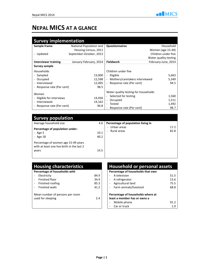### NEPAL MICS AT A GLANCE

| <b>Survey implementation</b> |                         |                                                      |                       |  |  |
|------------------------------|-------------------------|------------------------------------------------------|-----------------------|--|--|
| Sample frame                 | National Population and | Questionnaires                                       | Household             |  |  |
|                              | Housing Census, 2011    |                                                      | Women (age 15-49)     |  |  |
| Updated<br>Ξ.                | September-October, 2013 |                                                      | Children under five   |  |  |
|                              |                         |                                                      | Water quality testing |  |  |
| Interviewer training         | January-February, 2014  | <b>Fieldwork</b>                                     | February-June, 2014   |  |  |
| Survey sample                |                         |                                                      |                       |  |  |
| <b>Households</b>            |                         | Children under five                                  |                       |  |  |
| - Sampled                    | 13,000                  | Eligible<br>$\overline{\phantom{a}}$                 | 5,663                 |  |  |
| Occupied                     | 12,598                  | Mothers/caretakers interviewed<br>$\blacksquare$     | 5,349                 |  |  |
| Interviewed                  | 12,405                  | Response rate (Per cent)<br>$\overline{\phantom{a}}$ | 94.5                  |  |  |
| Response rate (Per cent)     | 98.5                    |                                                      |                       |  |  |
|                              |                         | Water quality testing for households                 |                       |  |  |
| Women                        |                         | Selected for testing                                 | 1,560                 |  |  |
| Eligible for interviews      | 14,936                  | Occupied                                             | 1,511                 |  |  |
| Interviewed                  | 14,162                  | Tested                                               | 1,492                 |  |  |
| Response rate (Per cent)     | 94.8                    | Response rate (Per cent)                             | 98.7                  |  |  |

| <b>Survey population</b>                                                                   |              |                                                                        |
|--------------------------------------------------------------------------------------------|--------------|------------------------------------------------------------------------|
| Average household size                                                                     | 4.6          | Percentage of population living in                                     |
| Percentage of population under:                                                            |              | Urban areas<br>17.2<br>$\overline{\phantom{a}}$<br>Rural areas<br>82.8 |
| - Age $5$<br>- Age 18                                                                      | 10.1<br>40.2 |                                                                        |
| Percentage of women age 15-49 years<br>with at least one live birth in the last 2<br>years | 14.5         |                                                                        |

| <b>Housing characteristics</b>  |      | <b>Household or personal assets</b>            |                |
|---------------------------------|------|------------------------------------------------|----------------|
| Percentage of households with   |      | Percentage of households that own              |                |
| Electricity                     | 84.9 | A television                                   | 5              |
| Finished floor                  | 34.9 | A refrigerator<br>$\qquad \qquad \blacksquare$ | $\mathbf{1}$   |
| Finished roofing<br>$\sim$      | 85.3 | Agricultural land                              | $\overline{7}$ |
| Finished walls                  | 41.2 | Farm animals/livestock                         | 6              |
| Mean number of persons per room |      | Percentage of households where at              |                |
| used for sleeping               | 2.4  | least a member has or owns a                   |                |
|                                 |      | Mobile phone                                   | 9              |
|                                 |      | Car or truck                                   |                |

| <b>Household or personal assets</b>                               |      |  |  |  |
|-------------------------------------------------------------------|------|--|--|--|
| Percentage of households that own                                 |      |  |  |  |
| A television                                                      | 51.5 |  |  |  |
| A refrigerator                                                    | 13.6 |  |  |  |
| Agricultural land                                                 | 75.5 |  |  |  |
| Farm animals/livestock                                            | 68.8 |  |  |  |
| Percentage of households where at<br>least a member has or owns a |      |  |  |  |
| Mobile phone                                                      | 91.2 |  |  |  |
| Car or truck                                                      | 1 q  |  |  |  |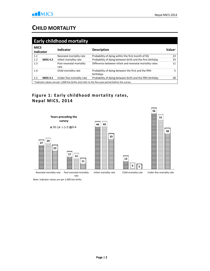### CHILD MORTALITY

|             | <b>Early childhood mortality</b> |                                 |                                                                                                  |                           |  |
|-------------|----------------------------------|---------------------------------|--------------------------------------------------------------------------------------------------|---------------------------|--|
| <b>MICS</b> | <b>Indicator</b>                 | <b>Indicator</b>                | <b>Description</b>                                                                               | <b>Value</b> <sup>A</sup> |  |
| 1.1         |                                  | Neonatal mortality rate         | Probability of dying within the first month of life                                              | 23                        |  |
| 1.2         | <b>MDG 4.2</b>                   | Infant mortality rate           | Probability of dying between birth and the first birthday                                        | 33                        |  |
| 1.3         |                                  | Post-neonatal mortality<br>rate | Difference between infant and neonatal mortality rates                                           | 11                        |  |
| 1.4         |                                  | Child mortality rate            | Probability of dying between the first and the fifth<br>birthdays                                | 5                         |  |
| 1.5         | <b>MDG 4.1</b>                   | Under-five mortality rate       | Probability of dying between birth and the fifth birthday                                        | 38                        |  |
|             |                                  |                                 | A Indicator values are per 1,000 live births and refer to the five-year period before the survey |                           |  |

#### Figure 1: Early childhood mortality rates, Nepal MICS, 2014



Note: Indicator values are per 1,000 live births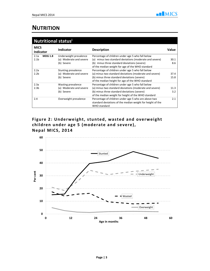#### **NUTRITION**

| <b>Nutritional statusi</b>                 |                                                                 |                                                                                                                                                                                                                     |              |  |
|--------------------------------------------|-----------------------------------------------------------------|---------------------------------------------------------------------------------------------------------------------------------------------------------------------------------------------------------------------|--------------|--|
| <b>MICS</b><br><b>Indicator</b>            | <b>Indicator</b>                                                | <b>Description</b>                                                                                                                                                                                                  | Value        |  |
| 2.1a<br><b>MDG 1.8</b><br>2.1 <sub>b</sub> | Underweight prevalence<br>(a) Moderate and severe<br>(b) Severe | Percentage of children under age 5 who fall below<br>(a) minus two standard deviations (moderate and severe)<br>(b) minus three standard deviations (severe)<br>of the median weight for age of the WHO standard    | 30.1<br>8.6  |  |
| 2.2a<br>2.2 <sub>b</sub>                   | Stunting prevalence<br>(a) Moderate and severe<br>(b) Severe    | Percentage of children under age 5 who fall below<br>(a) minus two standard deviations (moderate and severe)<br>(b) minus three standard deviations (severe)<br>of the median height for age of the WHO standard    | 37.4<br>15.8 |  |
| 2.3a<br>2.3 <sub>b</sub>                   | Wasting prevalence<br>(a) Moderate and severe<br>(b) Severe     | Percentage of children under age 5 who fall below<br>(a) minus two standard deviations (moderate and severe)<br>(b) minus three standard deviations (severe)<br>of the median weight for height of the WHO standard | 11.3<br>3.2  |  |
| 2.4                                        | Overweight prevalence                                           | Percentage of children under age 5 who are above two<br>standard deviations of the median weight for height of the<br>WHO standard                                                                                  | 2.1          |  |

Figure 2: Underweight, stunted, wasted and overweight children under age 5 (moderate and severe), Nepal MICS, 2014

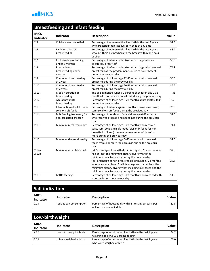### Breastfeeding and infant feeding

| <b>MICS</b><br>Indicator   | <b>Indicator</b>                                     | <b>Description</b>                                                                                                                                                                                                                     | Value |
|----------------------------|------------------------------------------------------|----------------------------------------------------------------------------------------------------------------------------------------------------------------------------------------------------------------------------------------|-------|
| 2.5                        | Children ever breastfed                              | Percentage of women with a live birth in the last 2 years<br>who breastfed their last live-born child at any time                                                                                                                      | 97.3  |
| 2.6                        | Early initiation of<br>breastfeeding                 | Percentage of women with a live birth in the last 2 years<br>who put their last newborn to the breast within one hour<br>of birth                                                                                                      | 48.7  |
| 2.7                        | <b>Exclusive breastfeeding</b><br>under 6 months     | Percentage of infants under 6 months of age who are<br>exclusively breastfedii                                                                                                                                                         | 56.9  |
| 2.8                        | Predominant<br>breastfeeding under 6<br>months       | Percentage of infants under 6 months of age who received<br>breast milk as the predominant source of nourishmentiii<br>during the previous day                                                                                         | 74.9  |
| 2.9                        | Continued breastfeeding<br>at 1 year                 | Percentage of children age 12-15 months who received<br>breast milk during the previous day                                                                                                                                            | 93.6  |
| 2.10                       | Continued breastfeeding<br>at 2 years                | Percentage of children age 20-23 months who received<br>breast milk during the previous day                                                                                                                                            | 86.7  |
| 2.11                       | Median duration of<br>breastfeeding                  | The age in months when 50 percent of children age 0-35<br>months did not receive breast milk during the previous day                                                                                                                   | 36    |
| 2.12                       | Age-appropriate<br>breastfeeding                     | Percentage of children age 0-23 months appropriately fediv<br>during the previous day                                                                                                                                                  | 79.3  |
| 2.13                       | Introduction of solid, semi-<br>solid or soft foods  | Percentage of infants age 6-8 months who received solid,<br>semi-solid or soft foods during the previous day                                                                                                                           | 73.5  |
| 2.14                       | Milk feeding frequency for<br>non-breastfed children | Percentage of non-breastfed children age 6-23 months<br>who received at least 2 milk feedings during the previous<br>day                                                                                                               | 59.5  |
| 2.15                       | Minimum meal frequency                               | Percentage of children age 6-23 months who received<br>solid, semi-solid and soft foods (plus milk feeds for non-<br>breastfed children) the minimum number of times <sup>v</sup> or<br>more during the previous day                   | 74.4  |
| 2.16                       | Minimum dietary diversity                            | Percentage of children age 6-23 months who received<br>foods from 4 or more food groupsvi during the previous<br>day                                                                                                                   | 37.0  |
| 2.17a<br>2.17 <sub>b</sub> | Minimum acceptable diet                              | (a) Percentage of breastfed children age 6-23 months who<br>had at least the minimum dietary diversity and the<br>minimum meal frequency during the previous day                                                                       | 32.3  |
|                            |                                                      | (b) Percentage of non-breastfed children age 6-23 months<br>who received at least 2 milk feedings and had at least the<br>minimum dietary diversity not including milk feeds and the<br>minimum meal frequency during the previous day | 22.8  |
| 2.18                       | <b>Bottle feeding</b>                                | Percentage of children age 0-23 months who were fed with<br>a bottle during the previous day                                                                                                                                           | 11.5  |

| <b>Salt iodization</b>          |                          |                                                                                      |       |
|---------------------------------|--------------------------|--------------------------------------------------------------------------------------|-------|
| <b>MICS</b><br><b>Indicator</b> | <b>Indicator</b>         | <b>Description</b>                                                                   | Value |
| 2.19                            | lodized salt consumption | Percentage of households with salt testing 15 parts per<br>million or more of jodide | 81.5  |

| Low-birthweight                 |                          |                                                                                                  |       |
|---------------------------------|--------------------------|--------------------------------------------------------------------------------------------------|-------|
| <b>MICS</b><br><b>Indicator</b> | Indicator                | <b>Description</b>                                                                               | Value |
| 2.20                            | Low-birthweight infants  | Percentage of most recent live births in the last 2 years<br>weighing below 2,500 grams at birth | 24.2  |
| 2.21                            | Infants weighed at birth | Percentage of most recent live births in the last 2 years<br>who were weighed at birth           | 60.0  |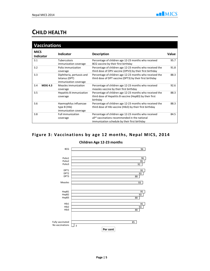#### CHILD HEALTH

|             | <b>Vaccinations</b> |                                                                     |                                                                                                                                                                      |       |
|-------------|---------------------|---------------------------------------------------------------------|----------------------------------------------------------------------------------------------------------------------------------------------------------------------|-------|
| <b>MICS</b> | <b>Indicator</b>    | <b>Indicator</b>                                                    | <b>Description</b>                                                                                                                                                   | Value |
| 3.1         |                     | Tuberculosis<br>immunization coverage                               | Percentage of children age 12-23 months who received<br>BCG vaccine by their first birthday                                                                          | 95.7  |
| 3.2         |                     | Polio immunization<br>coverage                                      | Percentage of children age 12-23 months who received the<br>third dose of OPV vaccine (OPV3) by their first birthday                                                 | 91.8  |
| 3.3         |                     | Diphtheria, pertussis and<br>tetanus (DPT)<br>immunization coverage | Percentage of children age 12-23 months who received the<br>third dose of DPT vaccine (DPT3) by their first birthday                                                 | 88.3  |
| 3.4         | <b>MDG 4.3</b>      | Measles immunization<br>coverage                                    | Percentage of children age 12-23 months who received<br>measles vaccine by their first birthday                                                                      | 92.6  |
| 3.5         |                     | Hepatitis B immunization<br>coverage                                | Percentage of children age 12-23 months who received the<br>third dose of Hepatitis B vaccine (HepB3) by their first<br>birthday                                     | 88.3  |
| 3.6         |                     | Haemophilus influenzae<br>type B (Hib)<br>immunization coverage     | Percentage of children age 12-23 months who received the<br>third dose of Hib vaccine (Hib3) by their first birthday                                                 | 88.3  |
| 3.8         |                     | <b>Full immunization</b><br>coverage                                | Percentage of children age 12-23 months who received<br>all <sup>vii</sup> vaccinations recommended in the national<br>immunization schedule by their first birthday | 84.5  |

#### Figure 3: Vaccinations by age 12 months, Nepal MICS, 2014

#### Children Age 12-23 months

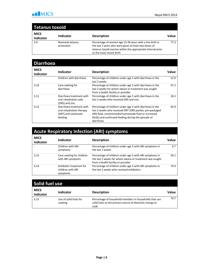

#### Tetanus toxoid

| <b>MICS</b><br><b>Indicator</b> | <b>Indicator</b>               | <b>Description</b>                                                                                                | Value  |
|---------------------------------|--------------------------------|-------------------------------------------------------------------------------------------------------------------|--------|
| 3.9                             | Neonatal tetanus<br>protection | Percentage of women age 15-49 years with a live birth in<br>the last 2 years who were given at least two doses of | 77.3 I |
|                                 |                                | tetanus toxoid vaccine within the appropriate interval prior<br>to the most recent birth                          |        |

| <b>Diarrhoea</b>         |                                                                                        |                                                                                                                                                                                                                                               |       |
|--------------------------|----------------------------------------------------------------------------------------|-----------------------------------------------------------------------------------------------------------------------------------------------------------------------------------------------------------------------------------------------|-------|
| <b>MICS</b><br>Indicator | Indicator                                                                              | <b>Description</b>                                                                                                                                                                                                                            | Value |
|                          | Children with diarrhoea                                                                | Percentage of children under age 5 with diarrhoea in the<br>last 2 weeks                                                                                                                                                                      | 12.0  |
| 3.10                     | Care-seeking for<br>diarrhoea                                                          | Percentage of children under age 5 with diarrhoea in the<br>last 2 weeks for whom advice or treatment was sought<br>from a health facility or provider                                                                                        | 47.2  |
| 3.11                     | Diarrhoea treatment with<br>oral rehydration salts<br>(ORS) and zinc                   | Percentage of children under age 5 with diarrhoea in the<br>last 2 weeks who received ORS and zinc                                                                                                                                            | 18.2  |
| 3.12                     | Diarrhoea treatment with<br>oral rehydration therapy<br>(ORT) and continued<br>feeding | Percentage of children under age 5 with diarrhoea in the<br>last 2 weeks who received ORT (ORS packet, pre-packaged<br>ORS fluid, recommended homemade fluid or increased<br>fluids) and continued feeding during the episode of<br>diarrhoea | 45.9  |

#### Acute Respiratory Infection (ARI) symptoms

| <b>MICS</b><br><b>Indicator</b> | Indicator                                                 | <b>Description</b>                                                                                                                                        | Value |
|---------------------------------|-----------------------------------------------------------|-----------------------------------------------------------------------------------------------------------------------------------------------------------|-------|
|                                 | Children with ARI<br>symptoms                             | Percentage of children under age 5 with ARI symptoms in<br>the last 2 weeks                                                                               | 6.7   |
| 3.13                            | Care-seeking for children<br>with ARI symptoms            | Percentage of children under age 5 with ARI symptoms in<br>the last 2 weeks for whom advice or treatment was sought<br>from a health facility or provider | 50.1  |
| 3.14                            | Antibiotic treatment for<br>children with ARI<br>symptoms | Percentage of children under age 5 with ARI symptoms in<br>the last 2 weeks who received antibiotics                                                      | 74.9  |

| Solid fuel use           |                                   |                                                                                                                           |       |
|--------------------------|-----------------------------------|---------------------------------------------------------------------------------------------------------------------------|-------|
| <b>MICS</b><br>Indicator | <b>Indicator</b>                  | <b>Description</b>                                                                                                        | Value |
| 3.15                     | Use of solid fuels for<br>cooking | Percentage of household members in households that use<br>solid fuels as the primary source of domestic energy to<br>cook | 74.7  |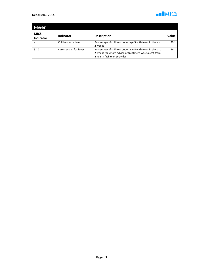

| <b>Fever</b>                    |                        |                                                                                                                                                    |       |
|---------------------------------|------------------------|----------------------------------------------------------------------------------------------------------------------------------------------------|-------|
| <b>MICS</b><br><b>Indicator</b> | <b>Indicator</b>       | <b>Description</b>                                                                                                                                 | Value |
|                                 | Children with fever    | Percentage of children under age 5 with fever in the last<br>2 weeks                                                                               | 20.1  |
| 3.20                            | Care-seeking for fever | Percentage of children under age 5 with fever in the last<br>2 weeks for whom advice or treatment was sought from<br>a health facility or provider | 46.1  |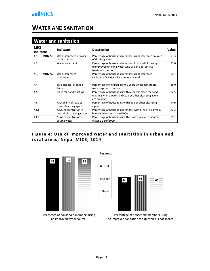#### WATER AND SANITATION

|                                 |                | <b>Water and sanitation</b>                         |                                                                                                                                 |       |
|---------------------------------|----------------|-----------------------------------------------------|---------------------------------------------------------------------------------------------------------------------------------|-------|
| <b>MICS</b><br><b>Indicator</b> |                | <b>Indicator</b>                                    | <b>Description</b>                                                                                                              | Value |
| 4.1                             | <b>MDG 7.8</b> | Use of improved drinking<br>water sources           | Percentage of household members using improved sources<br>of drinking water                                                     | 93.3  |
| 4.2                             |                | Water treatment                                     | Percentage of household members in households using<br>unimproved drinking water who use an appropriate<br>treatment method     | 13.6  |
| 4.3                             | <b>MDG 7.9</b> | Use of improved<br>sanitation                       | Percentage of household members using improved<br>sanitation facilities which are not shared                                    | 60.1  |
| 4.4                             |                | Safe disposal of child's<br>faeces                  | Percentage of children age 0-2 years whose last stools<br>were disposed of safely                                               | 48.0  |
| 4.5                             |                | Place for hand washing                              | Percentage of households with a specific place for hand<br>washing where water and soap or other cleansing agent<br>are present | 72.5  |
| 4.6                             |                | Availability of soap or<br>other cleansing agent    | Percentage of households with soap or other cleansing<br>agent                                                                  | 94.9  |
| 4.C1                            |                | E.coli concentration in<br>household drinking water | Percentage of household members with E. coli risk level in<br>household water ≥ 1 cfu/100ml                                     | 82.2  |
| 4.C <sub>2</sub>                |                | E.coli concentration in<br>source water             | Percentage of households with E. coli risk level in source<br>water $\geq 1$ cfu/100ml                                          | 71.1  |

#### Figure 4: Use of improved water and sanitation in urban and rural areas, Nepal MICS, 2014



Percentage of household members using an improved water source

Percentage of household members using an improved sanitation facility which is not shared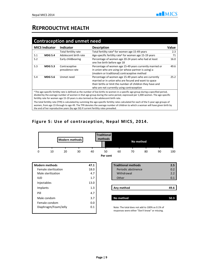#### REPRODUCTIVE HEALTH

|     | <b>MICS Indicator</b> | <b>Indicator</b>                 | <b>Description</b>                                                                                                                                                                                                       | Value |
|-----|-----------------------|----------------------------------|--------------------------------------------------------------------------------------------------------------------------------------------------------------------------------------------------------------------------|-------|
|     |                       | Total fertility rate             | Total fertility rate <sup>A</sup> for women age 15-49 years                                                                                                                                                              | 2.3   |
| 5.1 | <b>MDG 5.4</b>        | Adolescent birth rate            | Age-specific fertility rate <sup>A</sup> for women age 15-19 years                                                                                                                                                       | 71    |
| 5.2 |                       | Early childbearing               | Percentage of women age 20-24 years who had at least<br>one live birth before age 18                                                                                                                                     | 16.0  |
| 5.3 | <b>MDG 5.3</b>        | Contraceptive<br>prevalence rate | Percentage of women age 15-49 years currently married or<br>in union who are using (or whose partner is using) a<br>(modern or traditional) contraceptive method                                                         | 49.6  |
| 5.4 | <b>MDG 5.6</b>        | Unmet need                       | Percentage of women age 15-49 years who are currently<br>married or in union who are fecund and want to space<br>their births or limit the number of children they have and<br>who are not currently using contraception | 25.2  |

divided by the average number of women in that age group during the same period, expressed per 1,000 women. The age-specific fertility rate for women age 15-19 years is also termed as the adolescent birth rate.

The total fertility rate (TFR) is calculated by summing the age-specific fertility rates calculated for each of the 5-year age groups of women, from age 15 through to age 49. The TFR denotes the average number of children to which a woman will have given birth by the end of her reproductive years (by age 50) if current fertility rates prevailed.

#### Figure 5: Use of contraception, Nepal MICS, 2014.

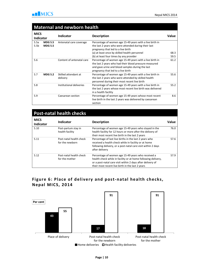#### Maternal and newborn health

| <b>MICS</b><br><b>Indicator</b> |                                  | <b>Indicator</b>                 | <b>Description</b>                                                                                                                                                                                                                                 | Value        |
|---------------------------------|----------------------------------|----------------------------------|----------------------------------------------------------------------------------------------------------------------------------------------------------------------------------------------------------------------------------------------------|--------------|
| 5.5a<br>5.5b                    | <b>MDG 5.5</b><br><b>MDG 5.5</b> | Antenatal care coverage          | Percentage of women age 15-49 years with a live birth in<br>the last 2 years who were attended during their last<br>pregnancy that led to a live birth<br>(a) at least once by skilled health personnel<br>(b) at least four times by any provider | 68.3<br>59.5 |
| 5.6                             |                                  | Content of antenatal care        | Percentage of women age 15-49 years with a live birth in<br>the last 2 years who had their blood pressure measured<br>and gave urine and blood samples during the last<br>pregnancy that led to a live birth                                       | 61.2         |
| 5.7                             | <b>MDG 5.2</b>                   | Skilled attendant at<br>delivery | Percentage of women age 15-49 years with a live birth in<br>the last 2 years who were attended by skilled health<br>personnel during their most recent live birth                                                                                  | 55.6         |
| 5.8                             |                                  | Institutional deliveries         | Percentage of women age 15-49 years with a live birth in<br>the last 2 years whose most recent live birth was delivered<br>in a health facility                                                                                                    | 55.2         |
| 5.9                             |                                  | Caesarean section                | Percentage of women age 15-49 years whose most recent<br>live birth in the last 2 years was delivered by caesarean<br>section                                                                                                                      | 8.6          |

#### Post-natal health checks

| <b>MICS</b><br>Indicator | Indicator                                  | <b>Description</b>                                                                                                                                                                                                                    | Value |
|--------------------------|--------------------------------------------|---------------------------------------------------------------------------------------------------------------------------------------------------------------------------------------------------------------------------------------|-------|
| 5.10                     | Post-partum stay in<br>health facility     | Percentage of women age 15-49 years who stayed in the<br>health facility for 12 hours or more after the delivery of<br>their most recent live birth in the last 2 years                                                               | 76.0  |
| 5.11                     | Post-natal health check<br>for the newborn | Percentage of last live births in the last 2 years who<br>received a health check while in facility or at home<br>following delivery, or a post-natal care visit within 2 days<br>after delivery                                      | 57.6  |
| 5.12                     | Post-natal health check<br>for the mother  | Percentage of women age 15-49 years who received a<br>health check while in facility or at home following delivery.<br>or a post-natal care visit within 2 days after delivery of<br>their most recent live birth in the last 2 years | 57.9  |

#### Figure 6: Place of delivery and post-natal health checks, Nepal MICS, 2014

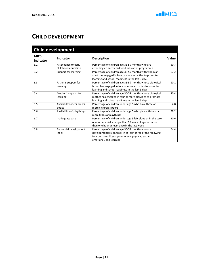#### CHILD DEVELOPMENT

| <b>Child development</b> |                                            |                                                                                                                                                                                                 |       |  |
|--------------------------|--------------------------------------------|-------------------------------------------------------------------------------------------------------------------------------------------------------------------------------------------------|-------|--|
| <b>MICS</b><br>Indicator | <b>Indicator</b>                           | <b>Description</b>                                                                                                                                                                              | Value |  |
| 6.1                      | Attendance to early<br>childhood education | Percentage of children age 36-59 months who are<br>attending an early childhood education programme                                                                                             | 50.7  |  |
| 6.2                      | Support for learning                       | Percentage of children age 36-59 months with whom an<br>adult has engaged in four or more activities to promote<br>learning and school readiness in the last 3 days                             | 67.2  |  |
| 6.3                      | Father's support for<br>learning           | Percentage of children age 36-59 months whose biological<br>father has engaged in four or more activities to promote<br>learning and school readiness in the last 3 days                        | 10.1  |  |
| 6.4                      | Mother's support for<br>learning           | Percentage of children age 36-59 months whose biological<br>mother has engaged in four or more activities to promote<br>learning and school readiness in the last 3 days                        | 30.4  |  |
| 6.5                      | Availability of children's<br>books        | Percentage of children under age 5 who have three or<br>more children's books                                                                                                                   | 4.8   |  |
| 6.6                      | Availability of playthings                 | Percentage of children under age 5 who play with two or<br>more types of playthings                                                                                                             | 59.2  |  |
| 6.7                      | Inadequate care                            | Percentage of children under age 5 left alone or in the care<br>of another child younger than 10 years of age for more<br>than one hour at least once in the last week                          | 20.6  |  |
| 6.8                      | Early child development<br>index           | Percentage of children age 36-59 months who are<br>developmentally on track in at least three of the following<br>four domains: literacy-numeracy, physical, social-<br>emotional, and learning | 64.4  |  |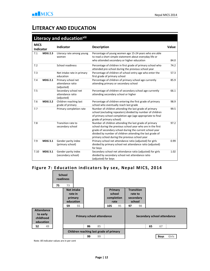#### LITERACY AND EDUCATION

|                                 |                | Literacy and educationvill                             |                                                                                                                                                                                                                                                                                                  |              |
|---------------------------------|----------------|--------------------------------------------------------|--------------------------------------------------------------------------------------------------------------------------------------------------------------------------------------------------------------------------------------------------------------------------------------------------|--------------|
| <b>MICS</b><br><b>Indicator</b> |                | Indicator                                              | <b>Description</b>                                                                                                                                                                                                                                                                               | <b>Value</b> |
| 7.1                             | <b>MDG 2.3</b> | Literacy rate among young<br>women                     | Percentage of young women age 15-24 years who are able<br>to read a short simple statement about everyday life or<br>who attended secondary or higher education                                                                                                                                  | 84.0         |
| 7.2                             |                | School readiness                                       | Percentage of children in first grade of primary school who<br>attended pre-school during the previous school year                                                                                                                                                                               | 74.2         |
| 7.3                             |                | Net intake rate in primary<br>education                | Percentage of children of school-entry age who enter the<br>first grade of primary school                                                                                                                                                                                                        | 57.3         |
| 7.4                             | <b>MDG 2.1</b> | Primary school net<br>attendance ratio<br>(adjusted)   | Percentage of children of primary school age currently<br>attending primary or secondary school                                                                                                                                                                                                  | 85.9         |
| 7.5                             |                | Secondary school net<br>attendance ratio<br>(adjusted) | Percentage of children of secondary school age currently<br>attending secondary school or higher                                                                                                                                                                                                 | 66.1         |
| 7.6                             | <b>MDG 2.2</b> | Children reaching last<br>grade of primary             | Percentage of children entering the first grade of primary<br>school who eventually reach last grade                                                                                                                                                                                             | 98.9         |
| 7.7                             |                | Primary completion rate                                | Number of children attending the last grade of primary<br>school (excluding repeaters) divided by number of children<br>of primary school completion age (age appropriate to final<br>grade of primary school)                                                                                   | 99.5         |
| 7.8                             |                | Transition rate to<br>secondary school                 | Number of children attending the last grade of primary<br>school during the previous school year who are in the first<br>grade of secondary school during the current school year<br>divided by number of children attending the last grade of<br>primary school during the previous school year | 97.2         |
| 7.9                             | <b>MDG 3.1</b> | Gender parity index<br>(primary school)                | Primary school net attendance ratio (adjusted) for girls<br>divided by primary school net attendance ratio (adjusted)<br>for boys                                                                                                                                                                | 0.99         |
| 7.10                            | <b>MDG 3.1</b> | Gender parity index<br>(secondary school)              | Secondary school net attendance ratio (adjusted) for girls<br>divided by secondary school net attendance ratio<br>(adjusted) for boys                                                                                                                                                            | 1.02         |

#### Figure 7: Education indicators by sex, Nepal MICS, 2014



Note: All indicator values are in per cent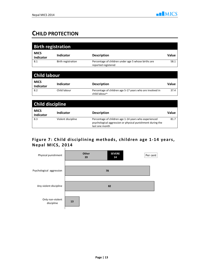### CHILD PROTECTION

|                                 | <b>Birth registration</b> |                                                                             |              |
|---------------------------------|---------------------------|-----------------------------------------------------------------------------|--------------|
| <b>MICS</b><br>Indicator        | <b>Indicator</b>          | <b>Description</b>                                                          | Value        |
| 8.1                             | Birth registration        | Percentage of children under age 5 whose births are<br>reported registered  | 58.1         |
|                                 |                           |                                                                             |              |
| <b>Child labour</b>             |                           |                                                                             |              |
| <b>MICS</b><br><b>Indicator</b> | <b>Indicator</b>          | <b>Description</b>                                                          | Value        |
| 8.2                             | Child labour              | Percentage of children age 5-17 years who are involved in<br>child labourix | 37.4         |
|                                 |                           |                                                                             |              |
| <b>Child discipline</b>         |                           |                                                                             |              |
| <b>MICS</b><br><b>Indicator</b> | <b>Indicator</b>          | <b>Description</b>                                                          | <b>Value</b> |
| 8.3                             |                           |                                                                             |              |

#### Figure 7: Child disciplining methods, children age 1-14 years, Nepal MICS, 2014

last one month

psychological aggression or physical punishment during the

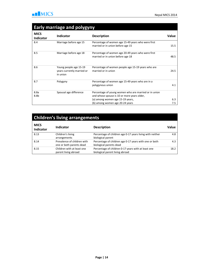

#### Early marriage and polygyny

| <b>MICS</b><br><b>Indicator</b> | <b>Indicator</b>                                                 | <b>Description</b>                                                                                   | Value |
|---------------------------------|------------------------------------------------------------------|------------------------------------------------------------------------------------------------------|-------|
| 8.4                             | Marriage before age 15                                           | Percentage of women age 15-49 years who were first<br>married or in union before age 15              | 15.5  |
| 8.5                             | Marriage before age 18                                           | Percentage of women age 20-49 years who were first<br>married or in union before age 18              | 48.5  |
| 8.6                             | Young people age 15-19<br>years currently married or<br>in union | Percentage of women people age 15-19 years who are<br>married or in union                            | 24.5  |
| 8.7                             | Polygyny                                                         | Percentage of women age 15-49 years who are in a<br>polygynous union                                 | 4.1   |
| 8.8a<br>8.8b                    | Spousal age difference                                           | Percentage of young women who are married or in union<br>and whose spouse is 10 or more years older, |       |
|                                 |                                                                  | (a) among women age 15-19 years,                                                                     | 6.3   |
|                                 |                                                                  | (b) among women age 20-24 years                                                                      | 7.5   |

### Children's living arrangements

| <b>MICS</b><br><b>Indicator</b> | <b>Indicator</b>                                        | <b>Description</b>                                                                     | Value |
|---------------------------------|---------------------------------------------------------|----------------------------------------------------------------------------------------|-------|
| 8.13                            | Children's living<br>arrangements                       | Percentage of children age 0-17 years living with neither<br>biological parent         | 4.8   |
| 8.14                            | Prevalence of children with<br>one or both parents dead | Percentage of children age 0-17 years with one or both<br>biological parents dead      | 4.3   |
| 8.15                            | Children with at least one<br>parent living abroad      | Percentage of children 0-17 years with at least one<br>biological parent living abroad | 18.2  |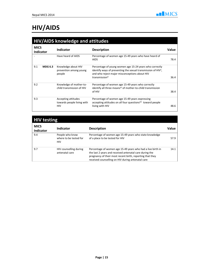## HIV/AIDS

|             | <b>HIV/AIDS knowledge and attitudes</b> |                                                                 |                                                                                                                                                                                                                     |       |
|-------------|-----------------------------------------|-----------------------------------------------------------------|---------------------------------------------------------------------------------------------------------------------------------------------------------------------------------------------------------------------|-------|
| <b>MICS</b> | <b>Indicator</b>                        | Indicator                                                       | <b>Description</b>                                                                                                                                                                                                  | Value |
|             |                                         | Have heard of AIDS                                              | Percentage of women age 15-49 years who have heard of<br><b>AIDS</b>                                                                                                                                                | 78.4  |
| 9.1         | <b>MDG 6.3</b>                          | Knowledge about HIV<br>prevention among young<br>people         | Percentage of young women age 15-24 years who correctly<br>identify ways of preventing the sexual transmission of HIV <sup>x</sup> ,<br>and who reject major misconceptions about HIV<br>transmission <sup>xi</sup> | 36.4  |
| 9.2         |                                         | Knowledge of mother-to-<br>child transmission of HIV            | Percentage of women age 15-49 years who correctly<br>identify all three means <sup>xii</sup> of mother-to-child transmission<br>of HIV                                                                              | 38.4  |
| 9.3         |                                         | Accepting attitudes<br>towards people living with<br><b>HIV</b> | Percentage of women age 15-49 years expressing<br>accepting attitudes on all four questions <sup>xiii</sup> toward people<br>living with HIV                                                                        | 48.6  |

### HIV testing

| <b>MICS</b><br>Indicator | <b>Indicator</b>                                        | <b>Description</b>                                                                                                                                                                                                                       | Value |
|--------------------------|---------------------------------------------------------|------------------------------------------------------------------------------------------------------------------------------------------------------------------------------------------------------------------------------------------|-------|
| 9.4                      | People who know<br>where to be tested for<br><b>HIV</b> | Percentage of women age 15-49 years who state knowledge<br>of a place to be tested for HIV                                                                                                                                               | 57.9  |
| 9.7                      | HIV counselling during<br>antenatal care                | Percentage of women age 15-49 years who had a live birth in<br>the last 2 years and received antenatal care during the<br>pregnancy of their most recent birth, reporting that they<br>received counselling on HIV during antenatal care | 14.1  |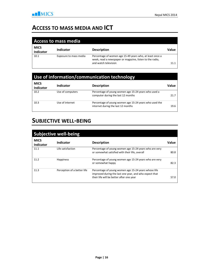#### ACCESS TO MASS MEDIA AND ICT

| <b>Access to mass media</b>     |                        |                                                                                                                                              |       |
|---------------------------------|------------------------|----------------------------------------------------------------------------------------------------------------------------------------------|-------|
| <b>MICS</b><br><b>Indicator</b> | Indicator              | <b>Description</b>                                                                                                                           | Value |
| 10.1                            | Exposure to mass media | Percentage of women age 15-49 years who, at least once a<br>week, read a newspaper or magazine, listen to the radio,<br>and watch television | 11.1  |

#### Use of information/communication technology

| <b>MICS</b><br><b>Indicator</b> | Indicator        | <b>Description</b>                                                                           | Value |
|---------------------------------|------------------|----------------------------------------------------------------------------------------------|-------|
| 10.2                            | Use of computers | Percentage of young women age 15-24 years who used a<br>computer during the last 12 months   | 21.7  |
| 10.3                            | Use of internet  | Percentage of young women age 15-24 years who used the<br>internet during the last 12 months | 19.6  |

#### SUBJECTIVE WELL-BEING

| <b>Subjective well-being</b> |                             |                                                                                                                                                            |       |
|------------------------------|-----------------------------|------------------------------------------------------------------------------------------------------------------------------------------------------------|-------|
| <b>MICS</b><br>Indicator     | Indicator                   | <b>Description</b>                                                                                                                                         | Value |
| 11.1                         | Life satisfaction           | Percentage of young women age 15-24 years who are very<br>or somewhat satisfied with their life, overall                                                   | 80.8  |
| 11.2                         | <b>Happiness</b>            | Percentage of young women age 15-24 years who are very<br>or somewhat happy                                                                                | 82.3  |
| 11.3                         | Perception of a better life | Percentage of young women age 15-24 years whose life<br>improved during the last one year, and who expect that<br>their life will be better after one year | 57.0  |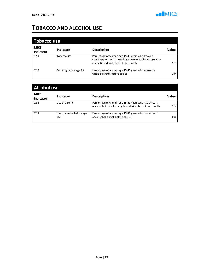### TOBACCO AND ALCOHOL USE

| <b>Tobacco use</b>              |                       |                                                                                                                                                     |       |
|---------------------------------|-----------------------|-----------------------------------------------------------------------------------------------------------------------------------------------------|-------|
| <b>MICS</b><br><b>Indicator</b> | Indicator             | <b>Description</b>                                                                                                                                  | Value |
| 12.1                            | Tobacco use           | Percentage of women age 15-49 years who smoked<br>cigarettes, or used smoked or smokeless tobacco products<br>at any time during the last one month | 9.2   |
| 12.2                            | Smoking before age 15 | Percentage of women age 15-49 years who smoked a<br>whole cigarette before age 15                                                                   | 3.9   |

| <b>Alcohol use</b>              |                                 |                                                                                                                   |       |
|---------------------------------|---------------------------------|-------------------------------------------------------------------------------------------------------------------|-------|
| <b>MICS</b><br><b>Indicator</b> | <b>Indicator</b>                | <b>Description</b>                                                                                                | Value |
| 12.3                            | Use of alcohol                  | Percentage of women age 15-49 years who had at least<br>one alcoholic drink at any time during the last one month | 9.5   |
| 12.4                            | Use of alcohol before age<br>15 | Percentage of women age 15-49 years who had at least<br>one alcoholic drink before age 15                         | 6.8   |